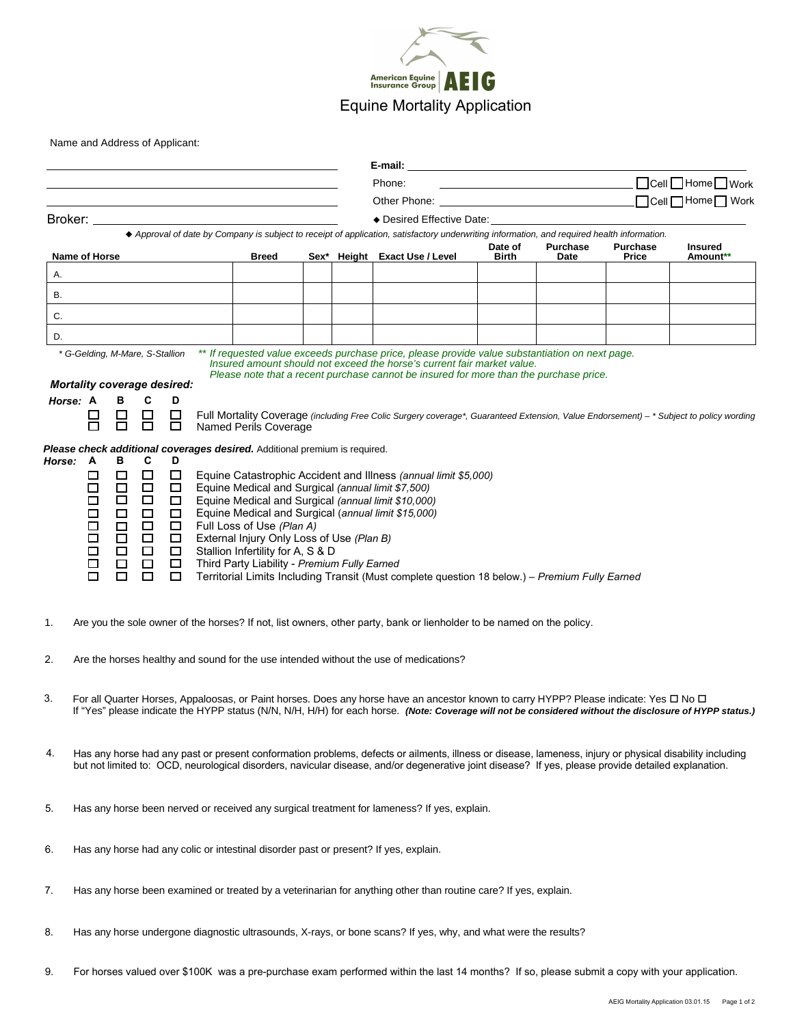

Name and Address of Applicant:

|                                                                                                                                                                    |                                                                                                                                                                                                                                             |                            |                  |                  |  |                                              |  |  | E-mail:                                                                                                                                                                                                                                                                                                    |                  | <u> 1980 - Andrea Andrew Maria (h. 1980).</u> |                          |                            |  |
|--------------------------------------------------------------------------------------------------------------------------------------------------------------------|---------------------------------------------------------------------------------------------------------------------------------------------------------------------------------------------------------------------------------------------|----------------------------|------------------|------------------|--|----------------------------------------------|--|--|------------------------------------------------------------------------------------------------------------------------------------------------------------------------------------------------------------------------------------------------------------------------------------------------------------|------------------|-----------------------------------------------|--------------------------|----------------------------|--|
|                                                                                                                                                                    |                                                                                                                                                                                                                                             |                            |                  |                  |  |                                              |  |  | <u>Dell</u> Dell DHome DWork<br>Phone:                                                                                                                                                                                                                                                                     |                  |                                               |                          |                            |  |
|                                                                                                                                                                    |                                                                                                                                                                                                                                             |                            |                  |                  |  |                                              |  |  |                                                                                                                                                                                                                                                                                                            |                  |                                               |                          |                            |  |
|                                                                                                                                                                    |                                                                                                                                                                                                                                             |                            |                  |                  |  |                                              |  |  | $\bullet$ Desired Effective Date:<br>◆ Approval of date by Company is subject to receipt of application, satisfactory underwriting information, and required health information.                                                                                                                           |                  |                                               |                          |                            |  |
|                                                                                                                                                                    |                                                                                                                                                                                                                                             |                            |                  |                  |  | <b>Breed</b>                                 |  |  |                                                                                                                                                                                                                                                                                                            | Date of<br>Birth | <b>Purchase</b>                               | <b>Purchase</b><br>Price | <b>Insured</b><br>Amount** |  |
| Name of Horse<br>А.                                                                                                                                                |                                                                                                                                                                                                                                             |                            |                  |                  |  |                                              |  |  | Sex* Height Exact Use / Level                                                                                                                                                                                                                                                                              |                  | Date                                          |                          |                            |  |
| В.                                                                                                                                                                 |                                                                                                                                                                                                                                             |                            |                  |                  |  |                                              |  |  |                                                                                                                                                                                                                                                                                                            |                  |                                               |                          |                            |  |
| С.                                                                                                                                                                 |                                                                                                                                                                                                                                             |                            |                  |                  |  |                                              |  |  |                                                                                                                                                                                                                                                                                                            |                  |                                               |                          |                            |  |
| D.                                                                                                                                                                 |                                                                                                                                                                                                                                             |                            |                  |                  |  |                                              |  |  |                                                                                                                                                                                                                                                                                                            |                  |                                               |                          |                            |  |
| ** If requested value exceeds purchase price, please provide value substantiation on next page.<br>* G-Gelding, M-Mare, S-Stallion                                 |                                                                                                                                                                                                                                             |                            |                  |                  |  |                                              |  |  |                                                                                                                                                                                                                                                                                                            |                  |                                               |                          |                            |  |
| Insured amount should not exceed the horse's current fair market value.<br>Please note that a recent purchase cannot be insured for more than the purchase price.  |                                                                                                                                                                                                                                             |                            |                  |                  |  |                                              |  |  |                                                                                                                                                                                                                                                                                                            |                  |                                               |                          |                            |  |
| <b>Mortality coverage desired:</b>                                                                                                                                 |                                                                                                                                                                                                                                             |                            |                  |                  |  |                                              |  |  |                                                                                                                                                                                                                                                                                                            |                  |                                               |                          |                            |  |
|                                                                                                                                                                    | Horse: A                                                                                                                                                                                                                                    | в                          | C<br>$\Box$      | D<br>□           |  |                                              |  |  | Full Mortality Coverage (including Free Colic Surgery coverage*, Guaranteed Extension, Value Endorsement) - * Subject to policy wording                                                                                                                                                                    |                  |                                               |                          |                            |  |
|                                                                                                                                                                    |                                                                                                                                                                                                                                             | п                          | □                | □                |  | Named Perils Coverage                        |  |  |                                                                                                                                                                                                                                                                                                            |                  |                                               |                          |                            |  |
| <b>Please check additional coverages desired.</b> Additional premium is required.                                                                                  |                                                                                                                                                                                                                                             |                            |                  |                  |  |                                              |  |  |                                                                                                                                                                                                                                                                                                            |                  |                                               |                          |                            |  |
| Horse:                                                                                                                                                             | □                                                                                                                                                                                                                                           | в<br>C<br>D<br>A<br>$\Box$ |                  |                  |  |                                              |  |  |                                                                                                                                                                                                                                                                                                            |                  |                                               |                          |                            |  |
| $\Box$<br>Equine Catastrophic Accident and Illness (annual limit \$5,000)<br>□<br>Equine Medical and Surgical (annual limit \$7,500)<br>□<br>$\Box$<br>□<br>$\Box$ |                                                                                                                                                                                                                                             |                            |                  |                  |  |                                              |  |  |                                                                                                                                                                                                                                                                                                            |                  |                                               |                          |                            |  |
|                                                                                                                                                                    | $\Box$<br>$\Box$<br>Equine Medical and Surgical (annual limit \$10,000)<br>□<br>$\Box$<br>Equine Medical and Surgical (annual limit \$15,000)<br>$\Box$<br>□<br>$\Box$<br>□<br>$\Box$<br>$\Box$<br>$\Box$<br>Full Loss of Use (Plan A)<br>□ |                            |                  |                  |  |                                              |  |  |                                                                                                                                                                                                                                                                                                            |                  |                                               |                          |                            |  |
|                                                                                                                                                                    |                                                                                                                                                                                                                                             |                            |                  |                  |  |                                              |  |  |                                                                                                                                                                                                                                                                                                            |                  |                                               |                          |                            |  |
|                                                                                                                                                                    | $\Box$<br>□<br>$\Box$<br>$\Box$<br>External Injury Only Loss of Use (Plan B)<br>$\Box$<br>$\Box$<br>$\Box$<br>Stallion Infertility for A, S & D                                                                                             |                            |                  |                  |  |                                              |  |  |                                                                                                                                                                                                                                                                                                            |                  |                                               |                          |                            |  |
|                                                                                                                                                                    | □<br>п                                                                                                                                                                                                                                      | $\Box$<br>П                | $\Box$<br>$\Box$ | $\Box$<br>$\Box$ |  | Third Party Liability - Premium Fully Earned |  |  |                                                                                                                                                                                                                                                                                                            |                  |                                               |                          |                            |  |
|                                                                                                                                                                    |                                                                                                                                                                                                                                             |                            |                  |                  |  |                                              |  |  | Territorial Limits Including Transit (Must complete question 18 below.) - Premium Fully Earned                                                                                                                                                                                                             |                  |                                               |                          |                            |  |
|                                                                                                                                                                    |                                                                                                                                                                                                                                             |                            |                  |                  |  |                                              |  |  |                                                                                                                                                                                                                                                                                                            |                  |                                               |                          |                            |  |
| 1.                                                                                                                                                                 |                                                                                                                                                                                                                                             |                            |                  |                  |  |                                              |  |  | Are you the sole owner of the horses? If not, list owners, other party, bank or lienholder to be named on the policy.                                                                                                                                                                                      |                  |                                               |                          |                            |  |
|                                                                                                                                                                    |                                                                                                                                                                                                                                             |                            |                  |                  |  |                                              |  |  |                                                                                                                                                                                                                                                                                                            |                  |                                               |                          |                            |  |
| 2.                                                                                                                                                                 |                                                                                                                                                                                                                                             |                            |                  |                  |  |                                              |  |  | Are the horses healthy and sound for the use intended without the use of medications?                                                                                                                                                                                                                      |                  |                                               |                          |                            |  |
|                                                                                                                                                                    |                                                                                                                                                                                                                                             |                            |                  |                  |  |                                              |  |  |                                                                                                                                                                                                                                                                                                            |                  |                                               |                          |                            |  |
| 3.                                                                                                                                                                 |                                                                                                                                                                                                                                             |                            |                  |                  |  |                                              |  |  | For all Quarter Horses, Appaloosas, or Paint horses. Does any horse have an ancestor known to carry HYPP? Please indicate: Yes $\Box$ No $\Box$<br>If "Yes" please indicate the HYPP status (N/N, N/H, H/H) for each horse. (Note: Coverage will not be considered without the disclosure of HYPP status.) |                  |                                               |                          |                            |  |
|                                                                                                                                                                    |                                                                                                                                                                                                                                             |                            |                  |                  |  |                                              |  |  |                                                                                                                                                                                                                                                                                                            |                  |                                               |                          |                            |  |
| 4.                                                                                                                                                                 |                                                                                                                                                                                                                                             |                            |                  |                  |  |                                              |  |  | Has any horse had any past or present conformation problems, defects or ailments, illness or disease, lameness, injury or physical disability including                                                                                                                                                    |                  |                                               |                          |                            |  |
|                                                                                                                                                                    |                                                                                                                                                                                                                                             |                            |                  |                  |  |                                              |  |  | but not limited to: OCD, neurological disorders, navicular disease, and/or degenerative joint disease? If yes, please provide detailed explanation.                                                                                                                                                        |                  |                                               |                          |                            |  |
|                                                                                                                                                                    |                                                                                                                                                                                                                                             |                            |                  |                  |  |                                              |  |  |                                                                                                                                                                                                                                                                                                            |                  |                                               |                          |                            |  |
| 5.                                                                                                                                                                 |                                                                                                                                                                                                                                             |                            |                  |                  |  |                                              |  |  | Has any horse been nerved or received any surgical treatment for lameness? If yes, explain.                                                                                                                                                                                                                |                  |                                               |                          |                            |  |
|                                                                                                                                                                    |                                                                                                                                                                                                                                             |                            |                  |                  |  |                                              |  |  |                                                                                                                                                                                                                                                                                                            |                  |                                               |                          |                            |  |
| 6.                                                                                                                                                                 |                                                                                                                                                                                                                                             |                            |                  |                  |  |                                              |  |  | Has any horse had any colic or intestinal disorder past or present? If yes, explain.                                                                                                                                                                                                                       |                  |                                               |                          |                            |  |
|                                                                                                                                                                    |                                                                                                                                                                                                                                             |                            |                  |                  |  |                                              |  |  |                                                                                                                                                                                                                                                                                                            |                  |                                               |                          |                            |  |
| 7.                                                                                                                                                                 |                                                                                                                                                                                                                                             |                            |                  |                  |  |                                              |  |  | Has any horse been examined or treated by a veterinarian for anything other than routine care? If yes, explain.                                                                                                                                                                                            |                  |                                               |                          |                            |  |
|                                                                                                                                                                    |                                                                                                                                                                                                                                             |                            |                  |                  |  |                                              |  |  |                                                                                                                                                                                                                                                                                                            |                  |                                               |                          |                            |  |
| 8.                                                                                                                                                                 |                                                                                                                                                                                                                                             |                            |                  |                  |  |                                              |  |  | Has any horse undergone diagnostic ultrasounds, X-rays, or bone scans? If yes, why, and what were the results?                                                                                                                                                                                             |                  |                                               |                          |                            |  |
|                                                                                                                                                                    |                                                                                                                                                                                                                                             |                            |                  |                  |  |                                              |  |  |                                                                                                                                                                                                                                                                                                            |                  |                                               |                          |                            |  |
|                                                                                                                                                                    |                                                                                                                                                                                                                                             |                            |                  |                  |  |                                              |  |  |                                                                                                                                                                                                                                                                                                            |                  |                                               |                          |                            |  |

9. For horses valued over \$100K was a pre-purchase exam performed within the last 14 months? If so, please submit a copy with your application.